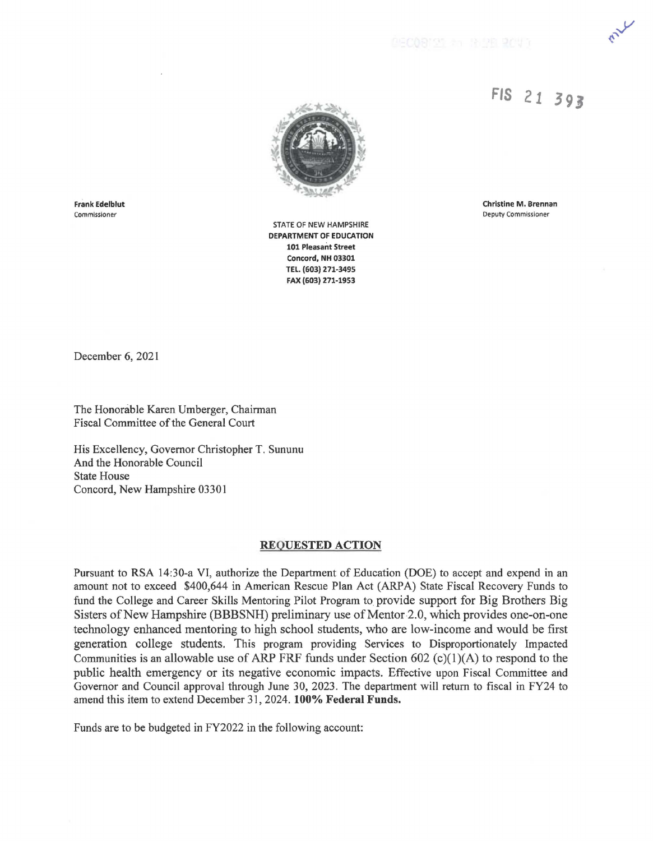## **FIS 21 3 9 J**



Frank Edelblut Commissioner

STATE OF NEW HAMPSHIRE **DEPARTMENT OF EDUCATION 101 Pleasant Street Concord, NH 03301 TEL. (603) 271-3495 FAX (603) 271-1953** 

Christine M. Brennan Deputy Commissioner

December 6, 2021

The Honorable Karen Umberger, Chairman Fiscal Committee of the General Court

His Excellency, Governor Christopher T. Sununu And the Honorable Council State House Concord, New Hampshire 03301

## **REQUESTED ACTION**

Pursuant to RSA 14:30-a VI, authorize the Department of Education (DOE) to accept and expend in an amount not to exceed \$400,644 in American Rescue Plan Act (ARPA) State Fiscal Recovery Funds to fund the College and Career Skills Mentoring Pilot Program to provide support for Big Brothers Big Sisters of New Hampshire (BBBSNH) preliminary use of Mentor 2.0, which provides one-on-one technology enhanced mentoring to high school students, who are low-income and would be first generation college students. This program providing Services to Disproportionately Impacted Communities is an allowable use of ARP FRF funds under Section 602  $(c)(1)(A)$  to respond to the public health emergency or its negative economic impacts. Effective upon Fiscal Committee and Governor and Council approval through June 30, 2023. The department will return to fiscal in FY24 to amend this item to extend December 31, 2024. **100% Federal Funds.** 

Funds are to be budgeted in FY2022 in the following account: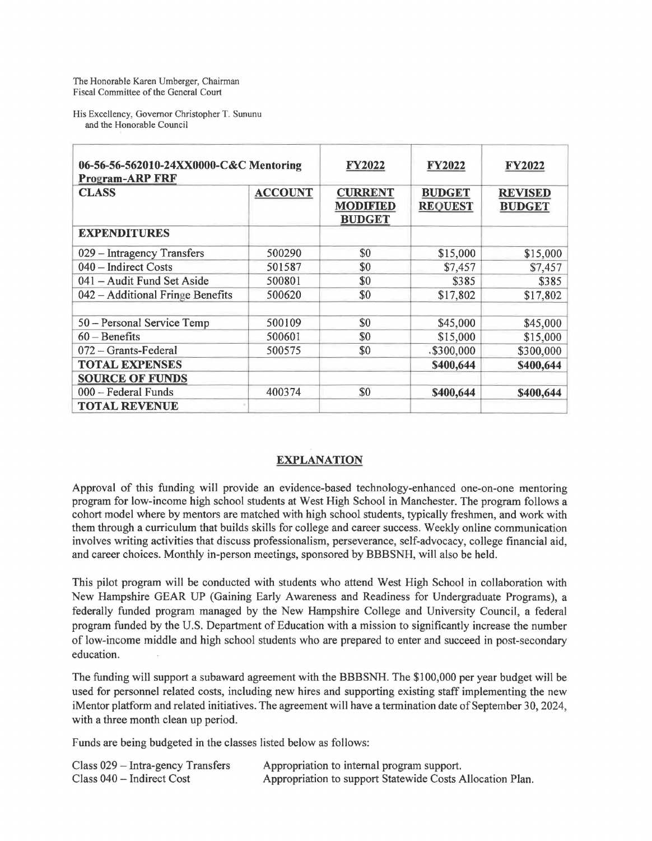His Excellency, Governor Christopher T. Sununu and the Honorable Council

| 06-56-56-562010-24XX0000-C&C Mentoring<br><b>Program-ARP FRF</b> |                | <b>FY2022</b>                                      | <b>FY2022</b>                   | <b>FY2022</b>                   |
|------------------------------------------------------------------|----------------|----------------------------------------------------|---------------------------------|---------------------------------|
| <b>CLASS</b>                                                     | <b>ACCOUNT</b> | <b>CURRENT</b><br><b>MODIFIED</b><br><b>BUDGET</b> | <b>BUDGET</b><br><b>REQUEST</b> | <b>REVISED</b><br><b>BUDGET</b> |
| <b>EXPENDITURES</b>                                              |                |                                                    |                                 |                                 |
| 029 - Intragency Transfers                                       | 500290         | \$0                                                | \$15,000                        | \$15,000                        |
| 040 - Indirect Costs                                             | 501587         | \$0                                                | \$7,457                         | \$7,457                         |
| 041 – Audit Fund Set Aside                                       | 500801         | \$0                                                | \$385                           | \$385                           |
| 042 – Additional Fringe Benefits                                 | 500620         | \$0                                                | \$17,802                        | \$17,802                        |
| 50 - Personal Service Temp                                       | 500109         | \$0                                                | \$45,000                        | \$45,000                        |
| $60 - \text{Benerfits}$                                          | 500601         | \$0                                                | \$15,000                        | \$15,000                        |
| $072 -$ Grants-Federal                                           | 500575         | \$0                                                | $.$ \$300,000                   | \$300,000                       |
| <b>TOTAL EXPENSES</b>                                            |                |                                                    | \$400,644                       | \$400,644                       |
| <b>SOURCE OF FUNDS</b>                                           |                |                                                    |                                 |                                 |
| 000 - Federal Funds                                              | 400374         | \$0                                                | \$400,644                       | \$400,644                       |
| <b>TOTAL REVENUE</b>                                             |                |                                                    |                                 |                                 |

## **EXPLANATION**

Approval of this funding will provide an evidence-based technology-enhanced one-on-one mentoring program for low-income high school students at West High School in Manchester. The program follows a cohort model where by mentors are matched with high school students, typically freshmen, and work with them through a curriculum that builds skills for college and career success. Weekly online communication involves writing activities that discuss professionalism, perseverance, self-advocacy, college financial aid, and career choices. Monthly in-person meetings, sponsored by BBBSNH, will also be held.

This pilot program will be conducted with students who attend West High School in collaboration with New Hampshire GEAR UP (Gaining Early Awareness and Readiness for Undergraduate Programs), a federally funded program managed by the New Hampshire College and University Council, a federal program funded by the U.S. Department of Education with a mission to significantly increase the number of low-income middle and high school students who are prepared to enter and succeed in post-secondary education.

The funding will support a subaward agreement with the BBBSNH. The \$100,000 per year budget will be used for personnel related costs, including new hires and supporting existing staff implementing the new iMentor platform and related initiatives. The agreement will have a termination date of September 30, 2024, with a three month clean up period.

Funds are being budgeted in the classes listed below as follows:

| $Class 029 - Intra-gency Transfers$ | Appropriation to internal program support.                |
|-------------------------------------|-----------------------------------------------------------|
| Class 040 - Indirect Cost           | Appropriation to support Statewide Costs Allocation Plan. |